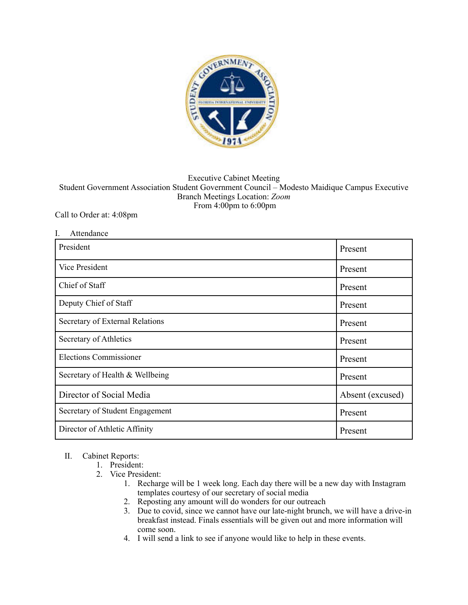

## Executive Cabinet Meeting Student Government Association Student Government Council – Modesto Maidique Campus Executive Branch Meetings Location: *Zoom*  From 4:00pm to 6:00pm

## Call to Order at: 4:08pm

| I.<br>Attendance                |                  |
|---------------------------------|------------------|
| President                       | Present          |
| <b>Vice President</b>           | Present          |
| Chief of Staff                  | Present          |
| Deputy Chief of Staff           | Present          |
| Secretary of External Relations | Present          |
| Secretary of Athletics          | Present          |
| <b>Elections Commissioner</b>   | Present          |
| Secretary of Health & Wellbeing | Present          |
| Director of Social Media        | Absent (excused) |
| Secretary of Student Engagement | Present          |
| Director of Athletic Affinity   | Present          |

## II. Cabinet Reports:

## 1. President:

- 2. Vice President:
	- 1. Recharge will be 1 week long. Each day there will be a new day with Instagram templates courtesy of our secretary of social media
	- 2. Reposting any amount will do wonders for our outreach
	- 3. Due to covid, since we cannot have our late-night brunch, we will have a drive-in breakfast instead. Finals essentials will be given out and more information will come soon.
	- 4. I will send a link to see if anyone would like to help in these events.